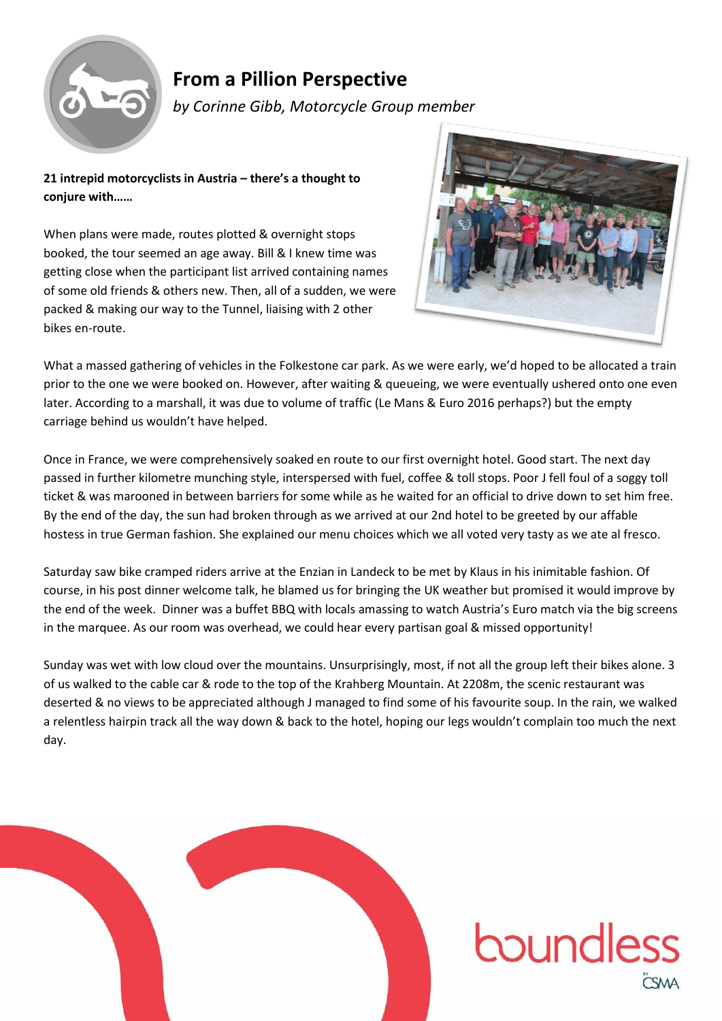

## **From a Pillion Perspective**

*by Corinne Gibb, Motorcycle Group member*

**21 intrepid motorcyclists in Austria – there's a thought to conjure with……**

When plans were made, routes plotted & overnight stops booked, the tour seemed an age away. Bill & I knew time was getting close when the participant list arrived containing names of some old friends & others new. Then, all of a sudden, we were packed & making our way to the Tunnel, liaising with 2 other bikes en-route.



What a massed gathering of vehicles in the Folkestone car park. As we were early, we'd hoped to be allocated a train prior to the one we were booked on. However, after waiting & queueing, we were eventually ushered onto one even later. According to a marshall, it was due to volume of traffic (Le Mans & Euro 2016 perhaps?) but the empty carriage behind us wouldn't have helped.

Once in France, we were comprehensively soaked en route to our first overnight hotel. Good start. The next day passed in further kilometre munching style, interspersed with fuel, coffee & toll stops. Poor J fell foul of a soggy toll ticket & was marooned in between barriers for some while as he waited for an official to drive down to set him free. By the end of the day, the sun had broken through as we arrived at our 2nd hotel to be greeted by our affable hostess in true German fashion. She explained our menu choices which we all voted very tasty as we ate al fresco.

Saturday saw bike cramped riders arrive at the Enzian in Landeck to be met by Klaus in his inimitable fashion. Of course, in his post dinner welcome talk, he blamed us for bringing the UK weather but promised it would improve by the end of the week. Dinner was a buffet BBQ with locals amassing to watch Austria's Euro match via the big screens in the marquee. As our room was overhead, we could hear every partisan goal & missed opportunity!

Sunday was wet with low cloud over the mountains. Unsurprisingly, most, if not all the group left their bikes alone. 3 of us walked to the cable car & rode to the top of the Krahberg Mountain. At 2208m, the scenic restaurant was deserted & no views to be appreciated although J managed to find some of his favourite soup. In the rain, we walked a relentless hairpin track all the way down & back to the hotel, hoping our legs wouldn't complain too much the next day.



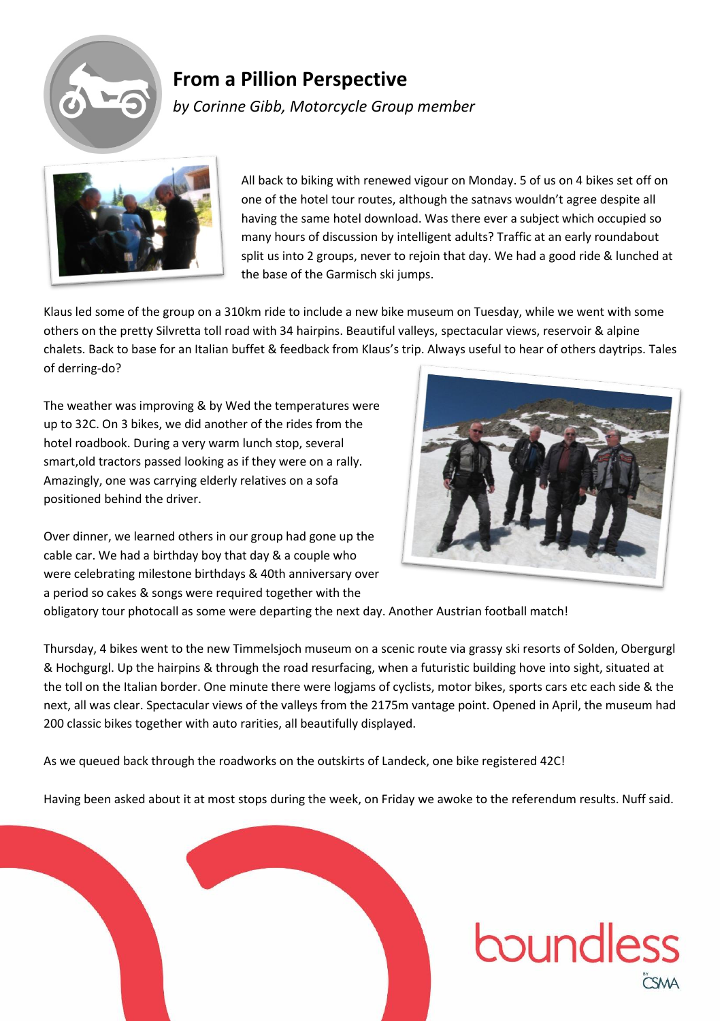

## **From a Pillion Perspective**

*by Corinne Gibb, Motorcycle Group member*



All back to biking with renewed vigour on Monday. 5 of us on 4 bikes set off on one of the hotel tour routes, although the satnavs wouldn't agree despite all having the same hotel download. Was there ever a subject which occupied so many hours of discussion by intelligent adults? Traffic at an early roundabout split us into 2 groups, never to rejoin that day. We had a good ride & lunched at the base of the Garmisch ski jumps.

Klaus led some of the group on a 310km ride to include a new bike museum on Tuesday, while we went with some others on the pretty Silvretta toll road with 34 hairpins. Beautiful valleys, spectacular views, reservoir & alpine chalets. Back to base for an Italian buffet & feedback from Klaus's trip. Always useful to hear of others daytrips. Tales of derring-do?

The weather was improving & by Wed the temperatures were up to 32C. On 3 bikes, we did another of the rides from the hotel roadbook. During a very warm lunch stop, several smart,old tractors passed looking as if they were on a rally. Amazingly, one was carrying elderly relatives on a sofa positioned behind the driver.

Over dinner, we learned others in our group had gone up the cable car. We had a birthday boy that day & a couple who were celebrating milestone birthdays & 40th anniversary over a period so cakes & songs were required together with the



obligatory tour photocall as some were departing the next day. Another Austrian football match!

Thursday, 4 bikes went to the new Timmelsjoch museum on a scenic route via grassy ski resorts of Solden, Obergurgl & Hochgurgl. Up the hairpins & through the road resurfacing, when a futuristic building hove into sight, situated at the toll on the Italian border. One minute there were logjams of cyclists, motor bikes, sports cars etc each side & the next, all was clear. Spectacular views of the valleys from the 2175m vantage point. Opened in April, the museum had 200 classic bikes together with auto rarities, all beautifully displayed.

As we queued back through the roadworks on the outskirts of Landeck, one bike registered 42C!

Having been asked about it at most stops during the week, on Friday we awoke to the referendum results. Nuff said.